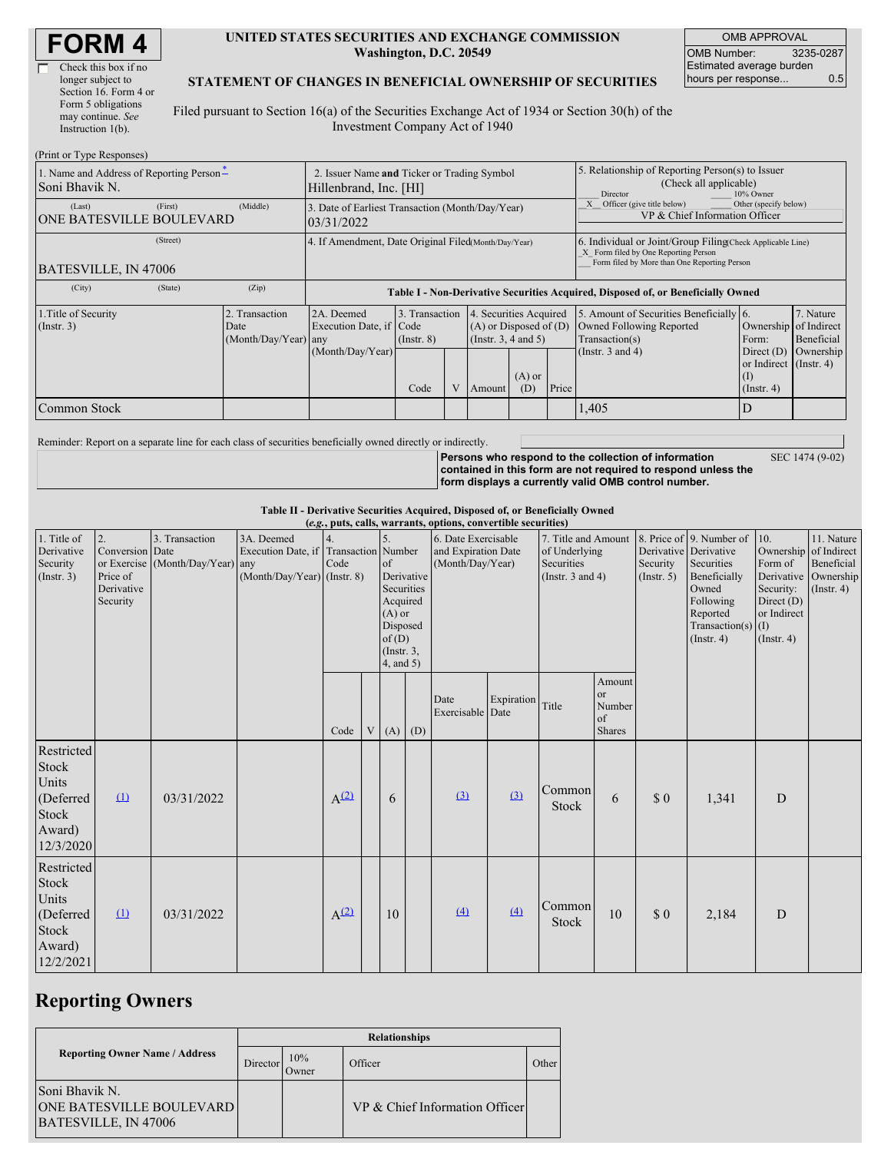| <b>FORM4</b> |
|--------------|
|--------------|

| Check this box if no  |
|-----------------------|
| longer subject to     |
| Section 16. Form 4 or |
| Form 5 obligations    |
| may continue. See     |
| Instruction $1(b)$ .  |
|                       |

(Print or Type Responses)

#### **UNITED STATES SECURITIES AND EXCHANGE COMMISSION Washington, D.C. 20549**

OMB APPROVAL OMB Number: 3235-0287 Estimated average burden hours per response... 0.5

### **STATEMENT OF CHANGES IN BENEFICIAL OWNERSHIP OF SECURITIES**

Filed pursuant to Section 16(a) of the Securities Exchange Act of 1934 or Section 30(h) of the Investment Company Act of 1940

| (FIIII OI Type Responses)                                  |                                                                       |                                                                                  |      |                                                                                                |                                                         |                                                                                                     |                                                                                                                                                    |                                                                                                                |                                                                                |                                      |  |
|------------------------------------------------------------|-----------------------------------------------------------------------|----------------------------------------------------------------------------------|------|------------------------------------------------------------------------------------------------|---------------------------------------------------------|-----------------------------------------------------------------------------------------------------|----------------------------------------------------------------------------------------------------------------------------------------------------|----------------------------------------------------------------------------------------------------------------|--------------------------------------------------------------------------------|--------------------------------------|--|
| 1. Name and Address of Reporting Person-<br>Soni Bhavik N. | 2. Issuer Name and Ticker or Trading Symbol<br>Hillenbrand, Inc. [HI] |                                                                                  |      |                                                                                                |                                                         | 5. Relationship of Reporting Person(s) to Issuer<br>(Check all applicable)<br>Director<br>10% Owner |                                                                                                                                                    |                                                                                                                |                                                                                |                                      |  |
| (First)<br>(Last)<br><b>ONE BATESVILLE BOULEVARD</b>       | (Middle)                                                              | 3. Date of Earliest Transaction (Month/Day/Year)<br>03/31/2022                   |      | Officer (give title below)                                                                     | Other (specify below)<br>VP & Chief Information Officer |                                                                                                     |                                                                                                                                                    |                                                                                                                |                                                                                |                                      |  |
| (Street)<br>BATESVILLE, IN 47006                           |                                                                       | 4. If Amendment, Date Original Filed(Month/Day/Year)                             |      |                                                                                                |                                                         |                                                                                                     | 6. Individual or Joint/Group Filing Check Applicable Line)<br>X Form filed by One Reporting Person<br>Form filed by More than One Reporting Person |                                                                                                                |                                                                                |                                      |  |
| (State)<br>(City)                                          | (Zip)                                                                 | Table I - Non-Derivative Securities Acquired, Disposed of, or Beneficially Owned |      |                                                                                                |                                                         |                                                                                                     |                                                                                                                                                    |                                                                                                                |                                                                                |                                      |  |
| 1. Title of Security<br>$($ Instr. 3 $)$                   | 2. Transaction<br>Date<br>(Month/Day/Year) any                        | 2A. Deemed<br>Execution Date, if Code<br>$($ Instr. $8)$<br>(Month/Day/Year)     |      | 4. Securities Acquired<br>3. Transaction<br>$(A)$ or Disposed of $(D)$<br>(Insert. 3, 4 and 5) |                                                         |                                                                                                     |                                                                                                                                                    | 5. Amount of Securities Beneficially 6.<br>Owned Following Reported<br>Transaction(s)<br>(Instr. $3$ and $4$ ) | Ownership of Indirect<br>Form:<br>Direct $(D)$<br>or Indirect $($ Instr. 4 $)$ | 7. Nature<br>Beneficial<br>Ownership |  |
|                                                            |                                                                       |                                                                                  | Code |                                                                                                | Amount                                                  | $(A)$ or<br>(D)                                                                                     | Price                                                                                                                                              |                                                                                                                | $($ Instr. 4 $)$                                                               |                                      |  |
| Common Stock                                               |                                                                       |                                                                                  |      |                                                                                                |                                                         |                                                                                                     |                                                                                                                                                    | 1,405                                                                                                          |                                                                                |                                      |  |

Reminder: Report on a separate line for each class of securities beneficially owned directly or indirectly.

**Persons who respond to the collection of information contained in this form are not required to respond unless the form displays a currently valid OMB control number.** SEC 1474 (9-02)

**Table II - Derivative Securities Acquired, Disposed of, or Beneficially Owned**

| (e.g., puts, calls, warrants, options, convertible securities)            |                                                             |                                                    |                                                                                    |                  |                                                                                                                    |            |                                                                |                          |                                                                             |                        |                                                          |                                                                                                                                                               |                                                                                |                                                                                               |  |
|---------------------------------------------------------------------------|-------------------------------------------------------------|----------------------------------------------------|------------------------------------------------------------------------------------|------------------|--------------------------------------------------------------------------------------------------------------------|------------|----------------------------------------------------------------|--------------------------|-----------------------------------------------------------------------------|------------------------|----------------------------------------------------------|---------------------------------------------------------------------------------------------------------------------------------------------------------------|--------------------------------------------------------------------------------|-----------------------------------------------------------------------------------------------|--|
| 1. Title of<br>Derivative<br>Security<br>(Insert. 3)                      | 2.<br>Conversion Date<br>Price of<br>Derivative<br>Security | 3. Transaction<br>or Exercise (Month/Day/Year) any | 3A. Deemed<br>Execution Date, if Transaction Number<br>(Month/Day/Year) (Instr. 8) | Code             | $\sigma$<br>Derivative<br>Securities<br>Acquired<br>$(A)$ or<br>Disposed<br>of(D)<br>$($ Instr. $3$ ,<br>4, and 5) |            | 6. Date Exercisable<br>and Expiration Date<br>(Month/Day/Year) |                          | 7. Title and Amount<br>of Underlying<br>Securities<br>(Instr. $3$ and $4$ ) |                        | Security<br>(Insert. 5)                                  | 8. Price of 9. Number of<br>Derivative Derivative<br>Securities<br>Beneficially<br>Owned<br>Following<br>Reported<br>Transaction(s) $(I)$<br>$($ Instr. 4 $)$ | 10.<br>Form of<br>Security:<br>Direct $(D)$<br>or Indirect<br>$($ Instr. 4 $)$ | 11. Nature<br>Ownership of Indirect<br>Beneficial<br>Derivative Ownership<br>$($ Instr. 4 $)$ |  |
|                                                                           |                                                             |                                                    |                                                                                    | Code             |                                                                                                                    | $V(A)$ (D) |                                                                | Date<br>Exercisable Date | Expiration Title                                                            |                        | Amount<br><sub>or</sub><br>Number<br>of<br><b>Shares</b> |                                                                                                                                                               |                                                                                |                                                                                               |  |
| Restricted<br>Stock<br>Units<br>(Deferred<br>Stock<br>Award)<br>12/3/2020 | $\Omega$                                                    | 03/31/2022                                         |                                                                                    | $A^{(2)}$        |                                                                                                                    | 6          |                                                                | (3)                      | (3)                                                                         | Common<br><b>Stock</b> | 6                                                        | \$0                                                                                                                                                           | 1,341                                                                          | D                                                                                             |  |
| Restricted<br>Stock<br>Units<br>(Deferred<br>Stock<br>Award)<br>12/2/2021 | $\mathbf{u}$                                                | 03/31/2022                                         |                                                                                    | A <sup>(2)</sup> |                                                                                                                    | 10         |                                                                | $\underline{4}$          | (4)                                                                         | Common<br><b>Stock</b> | 10                                                       | $\$$ $0$                                                                                                                                                      | 2,184                                                                          | D                                                                                             |  |

## **Reporting Owners**

|                                                                                  | <b>Relationships</b> |              |                                |       |  |  |  |  |  |  |
|----------------------------------------------------------------------------------|----------------------|--------------|--------------------------------|-------|--|--|--|--|--|--|
| <b>Reporting Owner Name / Address</b>                                            | Director             | 10%<br>Owner | Officer                        | Other |  |  |  |  |  |  |
| Soni Bhavik N.<br><b>ONE BATESVILLE BOULEVARD</b><br><b>BATESVILLE, IN 47006</b> |                      |              | VP & Chief Information Officer |       |  |  |  |  |  |  |